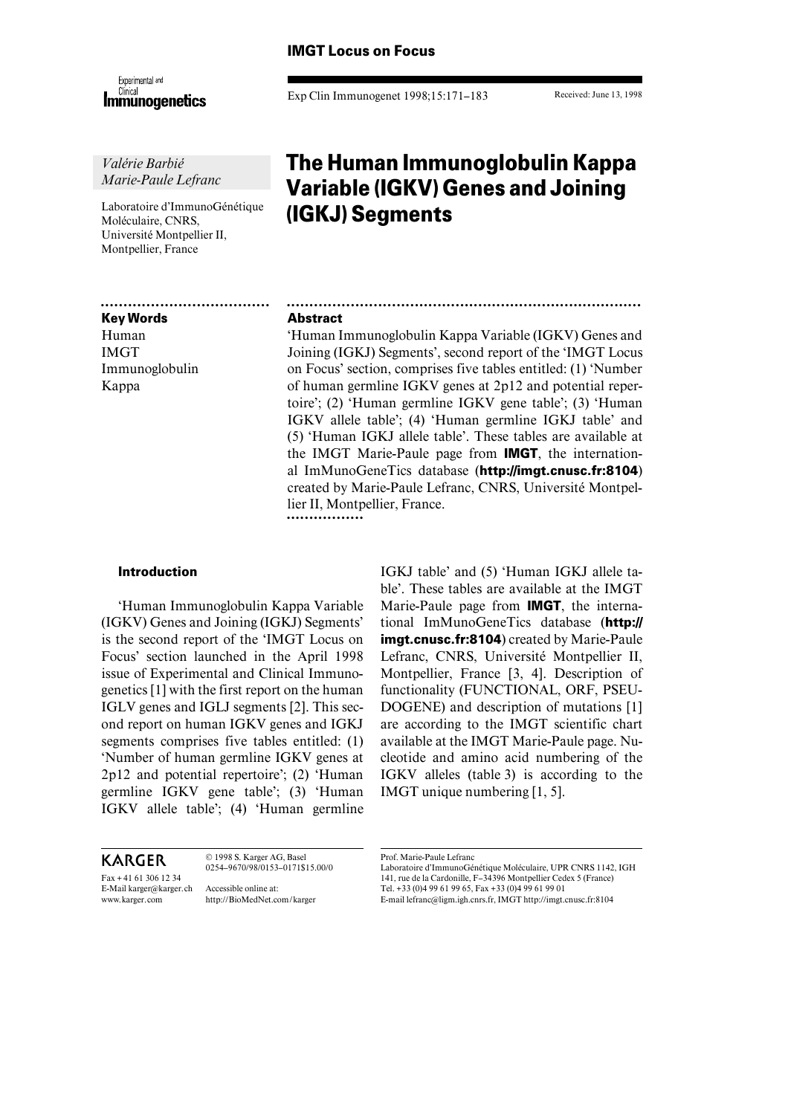# **IMGT Locus on Focus**

Experimental and **Immunogenetics** 

*Valérie Barbié Marie-Paule Lefranc*

Laboratoire d'ImmunoGénétique Moléculaire, CNRS, Université Montpellier II, Montpellier, France

OOOOOOOOOOOOOOOOOOOOOOOOOOOOOOOOOOOOO

# **Key Words**

Human IMGT Immunoglobulin Kappa

Exp Clin Immunogenet 1998;15:171–183

Received: June 13, 1998

# **The Human Immunoglobulin Kappa Variable (IGKV) Genes and Joining (IGKJ) Segments**

# **Abstract**

'Human Immunoglobulin Kappa Variable (IGKV) Genes and Joining (IGKJ) Segments', second report of the 'IMGT Locus on Focus' section, comprises five tables entitled: (1) 'Number of human germline IGKV genes at 2p12 and potential repertoire'; (2) 'Human germline IGKV gene table'; (3) 'Human IGKV allele table'; (4) 'Human germline IGKJ table' and (5) 'Human IGKJ allele table'. These tables are available at the IMGT Marie-Paule page from **IMGT**, the international ImMunoGeneTics database (**http://imgt.cnusc.fr:8104**) created by Marie-Paule Lefranc, CNRS, Université Montpellier II, Montpellier, France. ...............

OOOOOOOOOOOOOOOOOOOOOOOOOOOOOOOOOOOOOOOOOOOOOOOOOOOOOOOOOOOOOOOOOOOOOOOOOOOOOO

# **Introduction**

'Human Immunoglobulin Kappa Variable (IGKV) Genes and Joining (IGKJ) Segments' is the second report of the 'IMGT Locus on Focus' section launched in the April 1998 issue of Experimental and Clinical Immunogenetics [1] with the first report on the human IGLV genes and IGLJ segments [2]. This second report on human IGKV genes and IGKJ segments comprises five tables entitled: (1) 'Number of human germline IGKV genes at 2p12 and potential repertoire'; (2) 'Human germline IGKV gene table'; (3) 'Human IGKV allele table'; (4) 'Human germline

**KARGER** Fax + 41 61 306 12 34 E-Mail karger@karger.ch www.karger.com © 1998 S. Karger AG, Basel 0254–9670/98/0153–0171\$15.00/0 Accessible online at: http://BioMedNet.com/karger

IGKJ table' and (5) 'Human IGKJ allele table'. These tables are available at the IMGT Marie-Paule page from **IMGT**, the international ImMunoGeneTics database (**http:// imgt.cnusc.fr:8104**) created by Marie-Paule Lefranc, CNRS, Université Montpellier II, Montpellier, France [3, 4]. Description of functionality (FUNCTIONAL, ORF, PSEU-DOGENE) and description of mutations [1] are according to the IMGT scientific chart available at the IMGT Marie-Paule page. Nucleotide and amino acid numbering of the IGKV alleles (table 3) is according to the IMGT unique numbering [1, 5].

Prof. Marie-Paule Lefranc

Laboratoire d'ImmunoGénétique Moléculaire, UPR CNRS 1142, IGH 141, rue de la Cardonille, F–34396 Montpellier Cedex 5 (France) Tel. +33 (0)4 99 61 99 65, Fax +33 (0)4 99 61 99 01 E-mail lefranc@ligm.igh.cnrs.fr, IMGT http://imgt.cnusc.fr:8104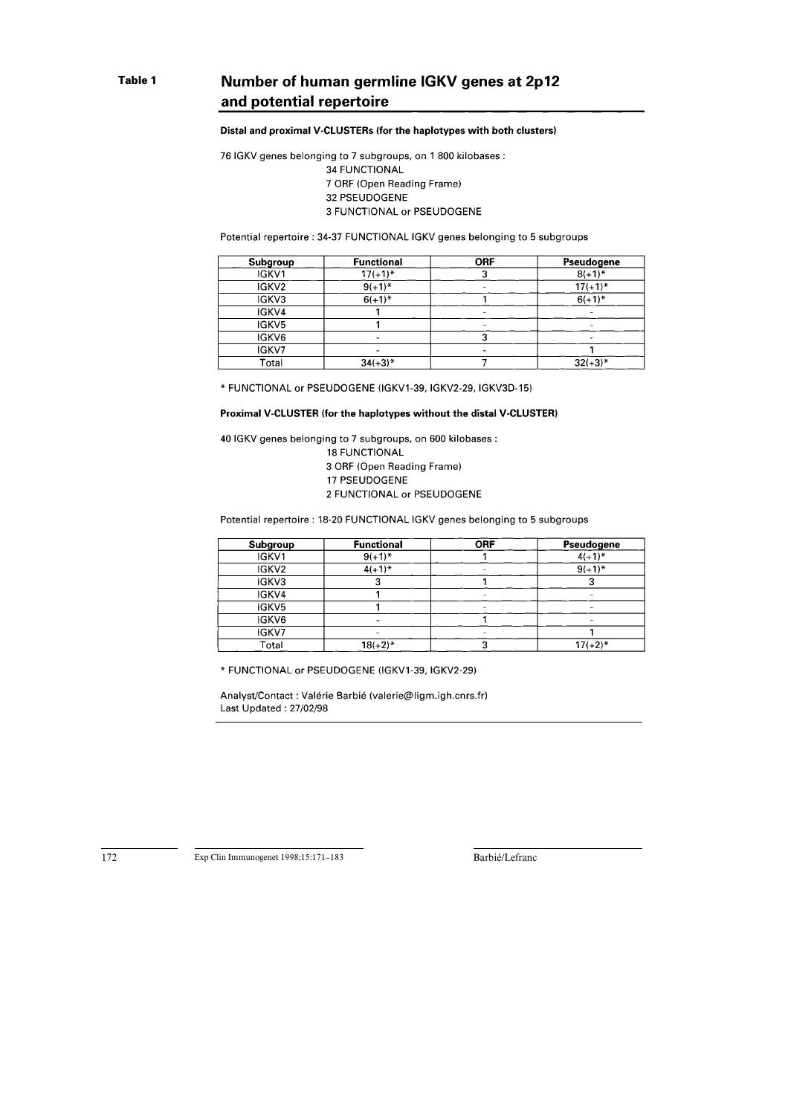# Number of human germline IGKV genes at 2p12 and potential repertoire

#### Distal and proximal V-CLUSTERs (for the haplotypes with both clusters)

76 IGKV genes belonging to 7 subgroups, on 1 800 kilobases : **34 FUNCTIONAL** 7 ORF (Open Reading Frame) 32 PSEUDOGENE 3 FUNCTIONAL or PSEUDOGENE

#### Potential repertoire: 34-37 FUNCTIONAL IGKV genes belonging to 5 subgroups

| Subgroup | <b>Functional</b> | <b>ORF</b> | Pseudogene   |
|----------|-------------------|------------|--------------|
| IGKV1    | $17(+1)^*$        |            | $8(+1)^{*}$  |
| IGKV2    | $9(+1)^*$         |            | $17(+1)^*$   |
| IGKV3    | $6(+1)^{*}$       |            | $6(+1)^{*}$  |
| IGKV4    |                   |            |              |
| IGKV5    |                   |            |              |
| IGKV6    |                   |            |              |
| IGKV7    |                   |            |              |
| Total    | $34(+3)*$         |            | $32(+3)^{*}$ |

\* FUNCTIONAL or PSEUDOGENE (IGKV1-39, IGKV2-29, IGKV3D-15)

### Proximal V-CLUSTER (for the haplotypes without the distal V-CLUSTER)

40 IGKV genes belonging to 7 subgroups, on 600 kilobases :

**18 FUNCTIONAL** 

3 ORF (Open Reading Frame)

17 PSEUDOGENE

2 FUNCTIONAL or PSEUDOGENE

Potential repertoire : 18-20 FUNCTIONAL IGKV genes belonging to 5 subgroups

| Subgroup          | <b>Functional</b> | <b>ORF</b> | Pseudogene  |
|-------------------|-------------------|------------|-------------|
| IGKV1             | $9(+1)^{*}$       |            | $4(+1)^{*}$ |
| IGKV <sub>2</sub> | $4(+1)^{*}$       |            | $9(+1)^{*}$ |
| IGKV3             | o                 |            |             |
| IGKV4             |                   |            |             |
| IGKV5             |                   |            |             |
| IGKV6             |                   |            |             |
| IGKV7             |                   |            |             |
| Total             | $18(+2)^{*}$      |            | $17(+2)$ *  |

\* FUNCTIONAL or PSEUDOGENE (IGKV1-39, IGKV2-29)

Analyst/Contact : Valérie Barbié (valerie@ligm.igh.cnrs.fr) Last Updated: 27/02/98

Exp Clin Immunogenet 1998;15:171-183

Barbié/Lefranc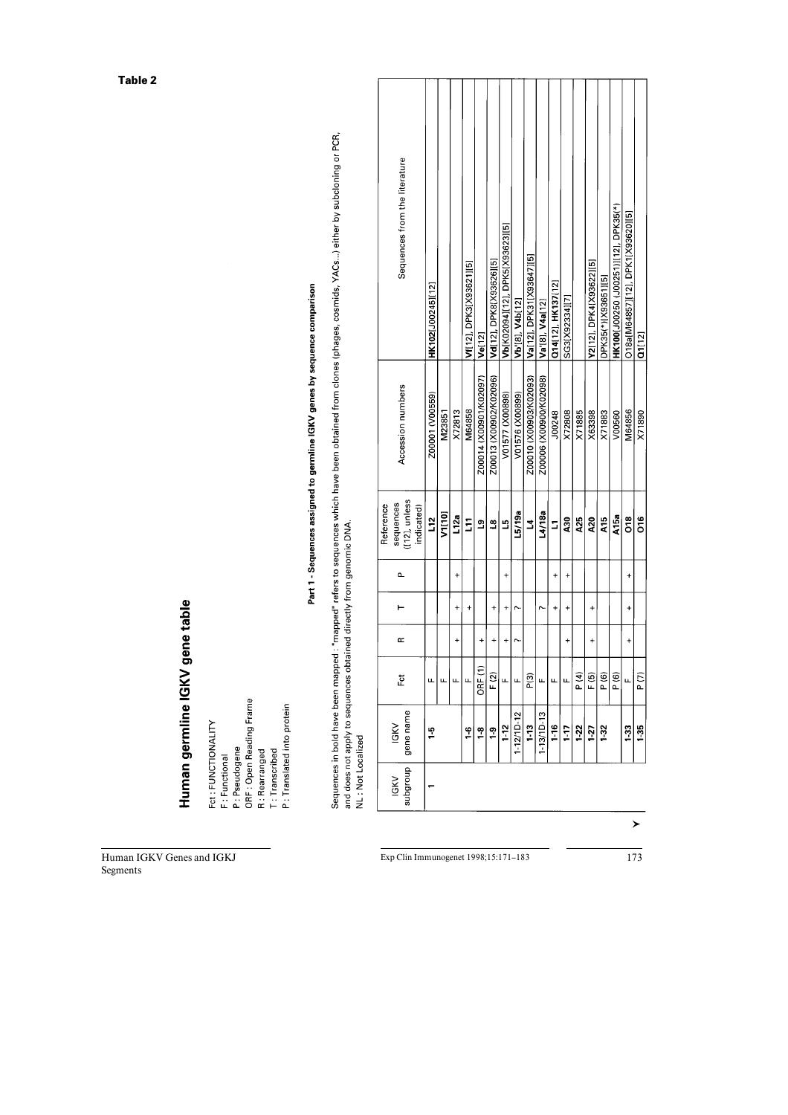# Human germline IGKV gene table

Human IGKV Genes and IGKJ

Segments

Fct : FUNCTIONALITY<br>F : Functional

P : Pseudogene<br>ORF : Open Reading Frame

R : Rearranged<br>T : Transcribed

P: Translated into protein

Part 1 - Sequences assigned to germline IGKV genes by sequence comparison

Sequences in bold have been mapped : "mapped" refers to sequences which have been obtained from clones (phages, cosmids, YACs...) either by subcloning or PCR,<br>and does not apply to sequences obtained directly from genomic

| Sequences from the literature                         | HK102[J00245][12] |        |                      | Vf(12), DPK3(X93621)[5] | Ve[12]                 | Vd[12], DPK8[X93626][5] | Vb(K02094][12], DPK5(X93623][5] | Vb'[8], V4b[12] | Va[12], DPK31[X93647][5] | Va [8], V4a[12]        | Q14[12], HK137[12] | SG3[X92334][7] |            | Y2[12], DPK4[X93622][5] | DPK35(*)[X93651][5] | HK100[J00250 (J00251)][12], DPK35(*) | O18a[M64857][12], DPK1[X93620][5] | <b>1112</b> |
|-------------------------------------------------------|-------------------|--------|----------------------|-------------------------|------------------------|-------------------------|---------------------------------|-----------------|--------------------------|------------------------|--------------------|----------------|------------|-------------------------|---------------------|--------------------------------------|-----------------------------------|-------------|
| Accession numbers                                     | Z00001 (V00559)   | M23851 | X72813               | M64858                  | Z00014 (X00901/K02097) | Z00013 (X00902/K02096)  | V01577 (X00898)                 | V01576 (X00899) | Z00010 (X00903/K02093)   | Z00006 (X00900/K02098) | J00248             | X72808         | X71885     | X63398                  | X71883              | V00560                               | M64856                            | V71890      |
| ([12], unless<br>sequences<br>Reference<br>indicated) | L12               | V1[10] | L12a                 | Ξ                       | ്വ                     | Ľ                       | B                               | L5/19a          | 3                        | L4/18a                 | $\overline{a}$     | $\lambda$ 30   | <b>A25</b> | $\lambda$ 20            | <b>A15</b>          | A15a                                 | õ.                                | ۲í          |
|                                                       |                   |        | $^{+}$               |                         |                        |                         | +                               |                 |                          |                        | +                  | $\ddot{}$      |            |                         |                     |                                      | ŧ                                 |             |
|                                                       |                   |        | $\ddot{}$            | $\ddot{}$               |                        | $\ddot{}$               | $\overline{+}$                  | r               |                          |                        | $\ddot{}$          | $\ddot{}$      |            | $\ddot{}$               |                     |                                      | $\ddot{}$                         |             |
| Œ                                                     |                   |        | $\ddot{\phantom{1}}$ |                         | $\ddot{}$              | $\ddot{}$               | $\overline{\phantom{a}}$        |                 |                          |                        |                    | $\ddot{}$      |            | $\ddot{}$               |                     |                                      | $\ddot{}$                         |             |
| Eŏ                                                    | щ                 |        |                      |                         | ORF (1                 | F(2)                    | щ                               | u.              | P(3)                     | щ                      | щ                  | щ              | P(4)       | F (5)                   | P (6)               | $\frac{6}{5}$                        |                                   | P (7)       |
| subgroup   gene name<br>IGKV                          | 5                 |        |                      | $\frac{6}{1}$           | $\frac{8}{1}$          | $\frac{9}{5}$           | $1-12$                          | $-12/10-12$     | $1 - 13$                 | $1-13/1D-13$           | 1-16               | $1 - 17$       | $1-22$     | $1-27$                  | $1-32$              |                                      | 1-33                              | 1.35        |
| IGKV                                                  |                   |        |                      |                         |                        |                         |                                 |                 |                          |                        |                    |                |            |                         |                     |                                      |                                   |             |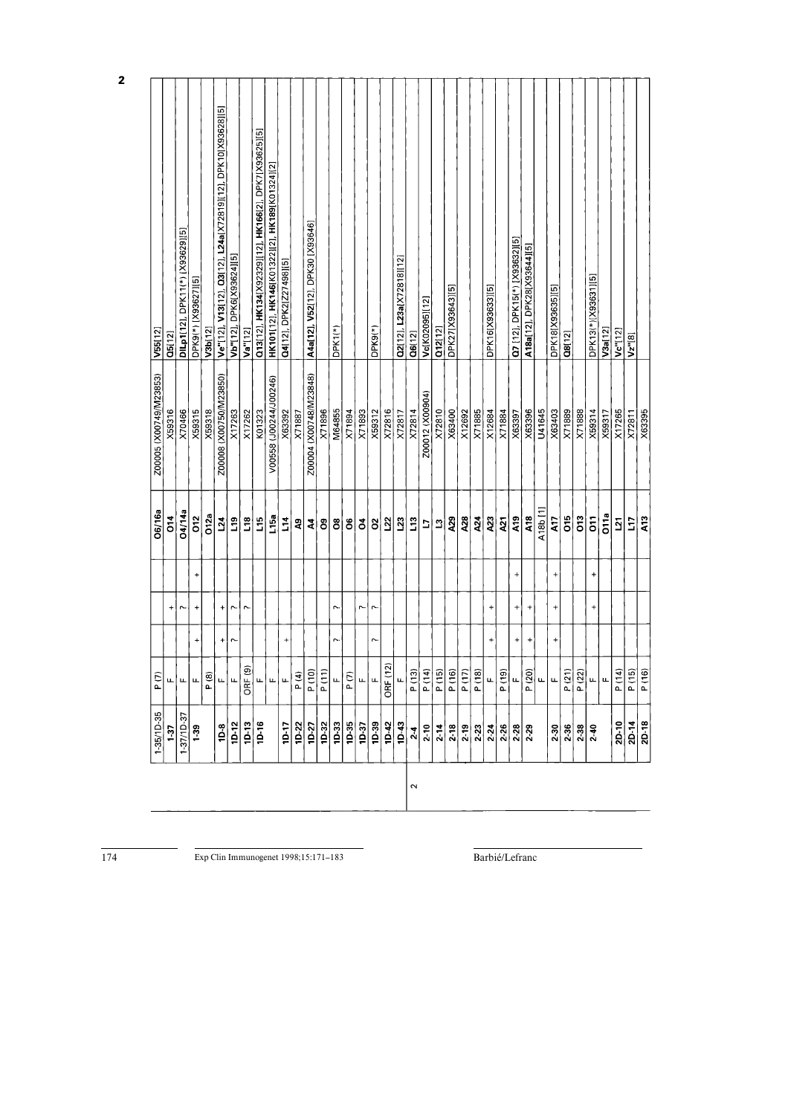| $1 - 35/1D - 35$      | P (7)              |           |                   |                      | O6/16a            | Z00005 (X00749/M23853) | V55 [12]                                                     |
|-----------------------|--------------------|-----------|-------------------|----------------------|-------------------|------------------------|--------------------------------------------------------------|
| 1-37                  | щ                  |           | $\ddot{}$         |                      | $\overline{0}$    | X59316                 | Q5[12]                                                       |
| $1 - 37/10 - 37$      | щ                  |           | r.                |                      | 04/14a            | X70466                 | DILp1(12), DPK11(*) [X93629][5]                              |
| $1 - 39$              | u.                 | $\ddot{}$ | $\ddot{}$         | $\ddot{\phantom{1}}$ | ors               | X59315                 | DPK9(*) [X93627][5]                                          |
|                       | P (8)              |           |                   |                      | O12a              | X59318                 | V3b(12)                                                      |
| $10-8$                | Щ                  | +         | $\ddot{}$         |                      | $\tilde{a}$       | Z00008 (X00750/M23850) | Ve"[12], V13[12], Q3[12], L24a[X72819][12], DPK10[X93628][5] |
| 1D-12                 | $\overline{u}$     | $\sim$    | $\sim$            |                      | $\mathbf{a}$      | X17263                 | Vb"[12], DPK6[X93624][5]                                     |
| $10 - 13$             | ORF <sub>(9)</sub> |           | $\sim$            |                      | $\frac{8}{10}$    | X17262                 | Va"[12]                                                      |
| $1D-16$               | u.                 |           |                   |                      | <u>ئ</u> ا        | K01323                 | Q13[12], HK134[X923329][12], HK166[2], DPK7[X93625][5]       |
|                       | u.                 |           |                   |                      | L15a              | V00558 (J00244/J00246) | HK101[12], HK146[K01322][2], HK189[K01324][2]                |
| $\frac{10}{1}$        | u.                 | $\ddot{}$ |                   |                      | $\frac{4}{1}$     | X63392                 | Q4[12], DPK2[Z27498][5]                                      |
|                       | P(4)               |           |                   |                      | 2                 | X71887                 |                                                              |
| $\frac{10-22}{10-27}$ | P(10)              |           |                   |                      | 4                 | Z00004 (X00748/M23848) | A4a[12], V52[12], DPK30 [X93646]                             |
| 1D-32                 | P(11)              |           |                   |                      | ဦ                 | X71896                 |                                                              |
| $\frac{33}{2}$        | u.                 | $\sim$    | $\sim$            |                      | $\rm ^{8}$        | M64855                 | $DFK1(*)$                                                    |
| $10-35$               | P(7)               |           |                   |                      | 8                 | X71894                 |                                                              |
| 1D-37                 | u.                 |           | r-                |                      | ð                 | X71893                 |                                                              |
| 1D-39                 | u.                 | $\sim$    | J                 |                      | $\rm s$           | X59312                 | $DFK9(*)$                                                    |
| $10-42$               | ORF (12)           |           |                   |                      | 22                | X72816                 |                                                              |
| $\frac{43}{2}$        | u.                 |           |                   |                      | $\mathbf{S}$      | X72817                 | Q2[12], L23a[X72818][12]                                     |
| $2-4$                 | P(13)              |           |                   |                      | $\mathbf{L}$      | X72814                 | Q6(12)                                                       |
| $2-10$                | P(14)              |           |                   |                      | $\overline{a}$    | Z00012 (X00904)        | Vc[K02095][12]                                               |
| $2 - 14$              | P(15)              |           |                   |                      | $\mathbf{\Omega}$ | X72810                 | 012[12]                                                      |
| $2-18$                | P(16)              |           |                   |                      | A <sub>29</sub>   | X63400                 | DPK27[X93643][5]                                             |
| $2-19$                | P(17)              |           |                   |                      | A28               | X12692                 |                                                              |
| 2-23                  | P(18)              |           |                   |                      | A24               | X71885                 |                                                              |
| 2.24                  | u.                 | +         | $\ddot{}$         |                      | <b>A23</b>        | X12684                 | DPK16[X93633][5]                                             |
| $2 - 26$              | P(19)              |           |                   |                      | $\tilde{a}$       | X71884                 |                                                              |
| $2 - 28$              | u.                 | $\ddot{}$ | $\qquad \qquad +$ | $\ddot{}$            | A <sub>19</sub>   | X63397                 | Q7 [12], DPK15(*) [X93632][5]                                |
| $2 - 29$              | P (20)             | $\ddot{}$ | $^{+}$            |                      | A18               | X63396                 | A18a[12], DPK28[X93644][5]                                   |
|                       | u.                 |           |                   |                      | $A18b$ [1]        | U41645                 |                                                              |
| $2-30$                | u.                 | $\ddot{}$ | $\ddot{}$         | $\ddot{}$            | A17               | X63403                 | DPK18[X93635][5]                                             |
| 2-36                  | P(21)              |           |                   |                      | δíρ               | X71889                 | 08[12]                                                       |
| $2 - 38$              | P(22)              |           |                   |                      | δ.                | X71888                 |                                                              |
| $2 - 40$              | u.                 |           | $\ddot{}$         | ÷,                   | $\overline{5}$    | X59314                 | DPK13(*)[X93631][5]                                          |
|                       | u.                 |           |                   |                      | <b>D11a</b>       | X59317                 | V3a [12]                                                     |
| 2D-10                 | P (14)             |           |                   |                      | $\overline{21}$   | X17265                 | Vc <sup>-</sup> [12]                                         |
| $\frac{2D-14}{2D-18}$ | P (15)             |           |                   |                      | $\overline{11}$   | X72811                 | $Vz$ [8]                                                     |
|                       | P(16)              |           |                   |                      | A <sub>13</sub>   | X63395                 |                                                              |

 $\frac{174}{174}$ 

Exp Clin Immunogenet 1998;15:171-183

Barbié/Lefranc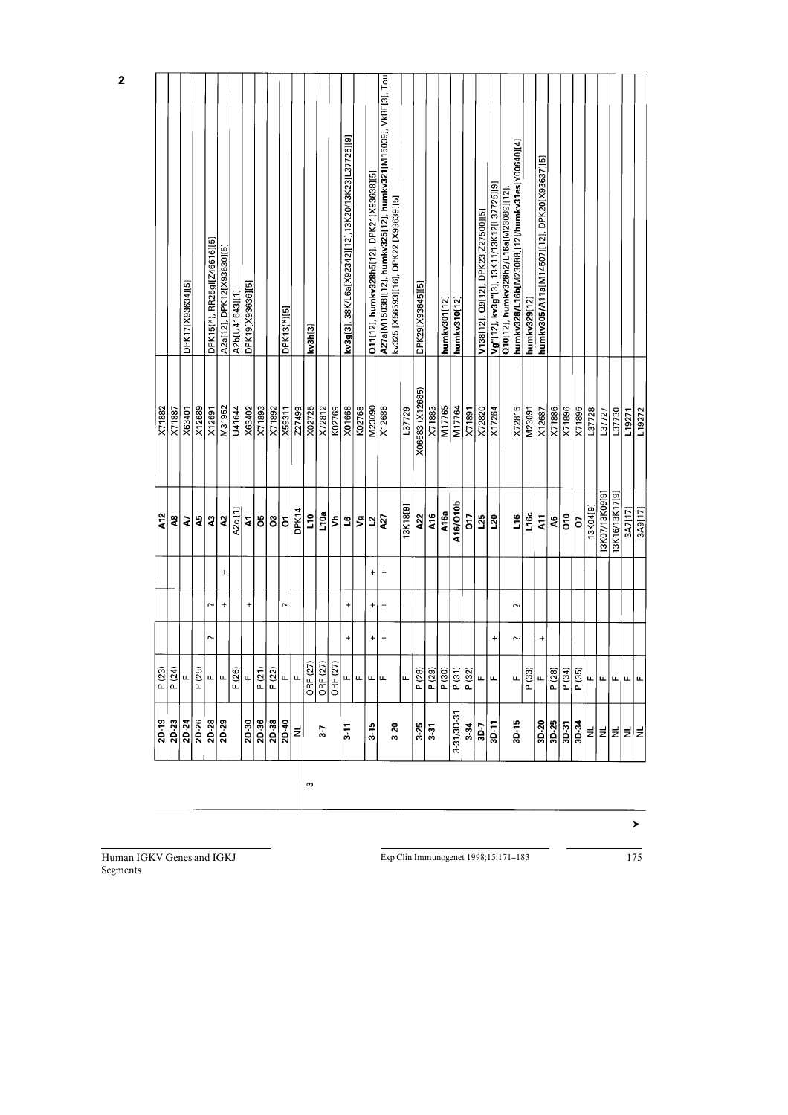|   | 2D-19                                                 | P(23)            |           |           |           | A <sub>12</sub>   | X71882          |                                                                                                         |
|---|-------------------------------------------------------|------------------|-----------|-----------|-----------|-------------------|-----------------|---------------------------------------------------------------------------------------------------------|
|   | 2D-23                                                 | P(24)            |           |           |           | q                 | X71887          |                                                                                                         |
|   | $2D-24$                                               | щ                |           |           |           | 5                 | X63401          | DPK17[X93634][5]                                                                                        |
|   |                                                       | P(25)            |           |           |           | 45                | X12689          |                                                                                                         |
|   | $\frac{8}{20}$                                        | LL.              | ŗ.        | r.        |           | 2                 | X12691          | DPK15(*), RR25gl[Z46616][5]                                                                             |
|   |                                                       | u.               |           | $\ddot{}$ | $\ddot{}$ | 5                 | M31952          | A2a[12], DPK12[X93630][5]                                                                               |
|   |                                                       | F(26)            |           |           |           | A2c [1]           | U41644          | A2b[U41643][1]                                                                                          |
|   |                                                       | u.               |           | $\ddot{}$ |           | $\mathbf{z}$      | X63402          | DPK19[X93636][5]                                                                                        |
|   |                                                       | P(21)            |           |           |           | 8                 | X71893          |                                                                                                         |
|   | $\frac{38}{28}$<br>$\frac{38}{28}$<br>$\frac{38}{28}$ | P(22)            |           |           |           | ິວ                | X71892          |                                                                                                         |
|   |                                                       | щ                |           | $\sim$    |           | δ                 | X59311          | DPK13(*)[5]                                                                                             |
|   | Ξ                                                     | L                |           |           |           | DPK14             | Z27499          |                                                                                                         |
| S |                                                       | <b>ORF (27)</b>  |           |           |           | $\tilde{z}$       | X02725          | kv3h[3]                                                                                                 |
|   | 3-7                                                   | ORF $(27)$       |           |           |           | L <sub>10a</sub>  | X72812          |                                                                                                         |
|   |                                                       | ORF $(27)$       |           |           |           | ₹                 | K02769          |                                                                                                         |
|   | $3-11$                                                | u,               | $\ddot{}$ | $\ddot{}$ |           | ٩                 | X01668          | kv3g[3], 38K/L6a[X92342][12],13K20/13K23[L37726][9]                                                     |
|   |                                                       | $\mu$            |           |           |           | 5                 | K02768          |                                                                                                         |
|   | $3 - 15$                                              | யுட              | $\ddot{}$ | $\ddot{}$ | +         | $\mathbf{\Omega}$ | M23090          | Q11[12], humkv328h5[12], DPK21[X93638][5]                                                               |
|   | $3 - 20$                                              |                  | $\ddot{}$ | $\ddot{}$ | $\ddot{}$ | হি                | X12686          | A27a[M15038][12], humkv325[12], humkv321[M15039], VkRF[3], Tou<br>kv325 [X56593][16], DPK22 [X93639][5] |
|   |                                                       | u                |           |           |           | 13K18[9]          | L37729          |                                                                                                         |
|   | $3 - 25$                                              | P (28)           |           |           |           | A22               | X06583 (X12685) | DPK29[X93645][5]                                                                                        |
|   | $3-31$                                                | P (29)           |           |           |           | A16               | X71883          |                                                                                                         |
|   |                                                       | P(30)            |           |           |           | A16a              | M17765          | humkv301[12]                                                                                            |
|   | $3 - 31/3D - 31$                                      | P <sub>(31</sub> |           |           |           | A16/O10b          | M17764          | humkv310[12]                                                                                            |
|   |                                                       | P (32            |           |           |           | $\tilde{5}$       | X71891          |                                                                                                         |
|   | $rac{3.34}{30.7}$                                     | щ                |           |           |           | 125               | X72820          | V138(12), Q9(12), DPK23(Z27500][5]                                                                      |
|   | 3D-11                                                 | щ                | +         |           |           | $\overline{20}$   | X17264          | Vg"[12], kv3g"[3], 13K11/13K12[L37725][9]                                                               |
|   | 3D-15                                                 | u.               | r.        | Ç         |           | 16                | X72815          | humkv328/L16b[M23088][12]/humkv31es[Y00640][4]<br>Q10(12), humkv328h2/L16a[M23089][12]                  |
|   |                                                       | P(33)            |           |           |           | L16c              | M23091          | humkv329[12]                                                                                            |
|   |                                                       | щ                | $\ddot{}$ |           |           | $\overline{a}$    | X12687          | humkv305/A11a[M14507][12], DPK20[X93637][5]                                                             |
|   | $\frac{2}{9}$                                         | P(28)            |           |           |           | 46                | X71886          |                                                                                                         |
|   |                                                       | P (34)           |           |           |           | δ                 | X71896          |                                                                                                         |
|   | <b>SD-34</b>                                          | P (35)           |           |           |           | ō                 | X71895          |                                                                                                         |
|   | 뵈                                                     | u,               |           |           |           | 13K04[9]          | L37728          |                                                                                                         |
|   | 뵈                                                     | щ                |           |           |           | 13K07/13K09[9]    | L37727          |                                                                                                         |
|   | $\overline{z}$                                        | щ                |           |           |           | 13K16/13K17[9]    | L37730          |                                                                                                         |
|   | 의로                                                    | ய∣ய              |           |           |           | 3A7[17]           | L19271          |                                                                                                         |
|   |                                                       |                  |           |           |           | 3A9[17]           | L19272          |                                                                                                         |

Human IGKV Genes and IGKJ Segments

**2** 

Exp Clin Immunogenet 1998;15:171-183 175

 $\rightarrow$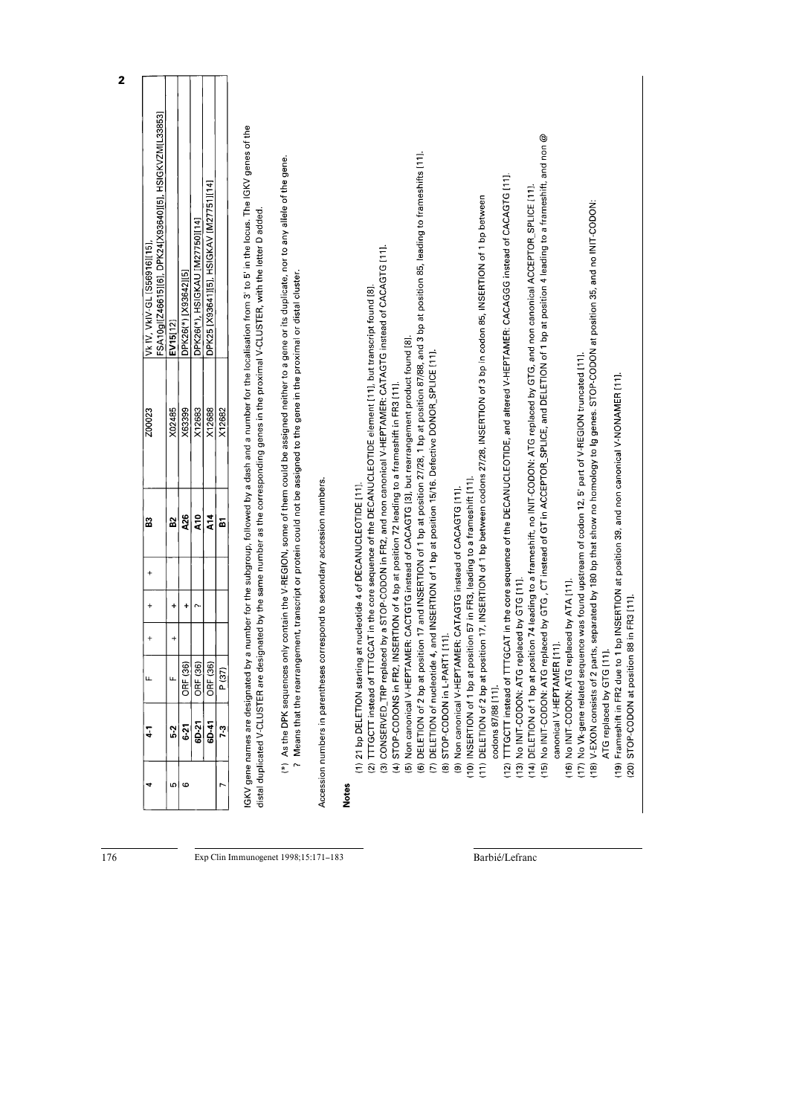| $6-21$<br>$\frac{2}{5}$          | u.                                           |                     | $\ddot{}$             | $\ddot{}$ | 2                                                                   | Z00023                                                                                                                     | FSA10gl[Z46615][6], DPK24[X93640][5], HSIGKVZM[L33853]<br>Vk IV, VkIV-GL [S56916][15]                                                                                                                                                                                                                                                                                                                                                                                       |
|----------------------------------|----------------------------------------------|---------------------|-----------------------|-----------|---------------------------------------------------------------------|----------------------------------------------------------------------------------------------------------------------------|-----------------------------------------------------------------------------------------------------------------------------------------------------------------------------------------------------------------------------------------------------------------------------------------------------------------------------------------------------------------------------------------------------------------------------------------------------------------------------|
|                                  |                                              | $\ddot{}$           | $\ddot{}$             |           | 52                                                                  | X02485                                                                                                                     | EV15[12]                                                                                                                                                                                                                                                                                                                                                                                                                                                                    |
|                                  | ORF (36)                                     |                     | $\ddot{}$             |           | A26                                                                 | X63399                                                                                                                     | DPK26(*)[X93642][5]                                                                                                                                                                                                                                                                                                                                                                                                                                                         |
| 6D-21                            | ORF (36)                                     |                     | $\sim$                |           | $\frac{1}{2}$                                                       | X12683                                                                                                                     | DPK26(*), HSIGKAU [M27750][14]                                                                                                                                                                                                                                                                                                                                                                                                                                              |
| 6D-41                            | ORF (36)                                     |                     |                       |           | $\frac{4}{5}$                                                       | X12688                                                                                                                     | DPK25 [X93641][5], HSIGKAV [M27751][14]                                                                                                                                                                                                                                                                                                                                                                                                                                     |
| 7-3                              | P (37)                                       |                     |                       |           | 51                                                                  | X12682                                                                                                                     |                                                                                                                                                                                                                                                                                                                                                                                                                                                                             |
|                                  |                                              |                     |                       |           |                                                                     | ? Means that the rearrangement, transcript or protein could not be assigned to the gene in the proximal or distal cluster. | IGKV gene names are designated by a number for the subgroup, followed by a dash and a number for the localisation from 3' to 5' in the locus. The IGKV genes of the<br>(*) As the DPK sequences only contain the V-REGION, some of them could be assigned neither to a gene or its duplicate, nor to any allele of the gene.<br>distal duplicated V-CLUSTER are designated by the same number as the corresponding genes in the proximal V-CLUSTER, with the letter D added |
| Accession numbers in parentheses |                                              |                     |                       |           | correspond to secondary accession numbers.                          |                                                                                                                            |                                                                                                                                                                                                                                                                                                                                                                                                                                                                             |
|                                  |                                              |                     |                       |           |                                                                     |                                                                                                                            |                                                                                                                                                                                                                                                                                                                                                                                                                                                                             |
|                                  |                                              |                     |                       |           | (1) 21 bp DELETION starting at nucleotide 4 of DECANUCLEOTIDE [11]. |                                                                                                                            |                                                                                                                                                                                                                                                                                                                                                                                                                                                                             |
|                                  |                                              |                     |                       |           |                                                                     | (2) TTTGCTT instead of TTTGCAT in the core sequence of the DECANUCLEOTIDE element [11], but transcript found [8].          |                                                                                                                                                                                                                                                                                                                                                                                                                                                                             |
|                                  |                                              |                     |                       |           |                                                                     |                                                                                                                            | (3) CONSERVED_TRP replaced by a STOP-CODON in FR2, and non canonical V-HEPTAMER: CATAGTG instead of CACAGTG [11].                                                                                                                                                                                                                                                                                                                                                           |
| $\widehat{f}$                    |                                              |                     |                       |           |                                                                     | STOP-CODONS in FR2, INSERTION of 4 bp at position 72 leading to a frameshift in FR3 [11].                                  |                                                                                                                                                                                                                                                                                                                                                                                                                                                                             |
|                                  |                                              |                     |                       |           |                                                                     | (5) Non canonical V-HEPTAMER: CACTGTG instead of CACAGTG [3], but rearrangement product found [8]                          |                                                                                                                                                                                                                                                                                                                                                                                                                                                                             |
|                                  |                                              |                     |                       |           |                                                                     | (7) DELETION of nucleotide 4, and INSERTION of 1 bp at position 15/16. Defective DONOR_SPLICE [11]                         | (6) DELETION of 2 bp at position 17 and INSERTION of 1 bp at position 27/28, 1 bp at position 87/88, and 3 bp at position 85, leading to frameshifts [11].                                                                                                                                                                                                                                                                                                                  |
| $\widehat{\circ}$                | STOP-CODON in L-PART1 [11].                  |                     |                       |           |                                                                     |                                                                                                                            |                                                                                                                                                                                                                                                                                                                                                                                                                                                                             |
| $\widehat{\mathbf{e}}$           |                                              |                     |                       |           | Non canonical V-HEPTAMER: CATAGTG instead of CACAGTG [11].          |                                                                                                                            |                                                                                                                                                                                                                                                                                                                                                                                                                                                                             |
| (10) INSERTION of 1 bp at        |                                              |                     |                       |           | position 57 in FR3, leading to a frameshift [11].                   |                                                                                                                            |                                                                                                                                                                                                                                                                                                                                                                                                                                                                             |
|                                  |                                              |                     |                       |           |                                                                     |                                                                                                                            | (11) DELETION of 2 bp at position 17, INSERTION of 1 bp between codons 27/28, INSERTION of 3 bp in codon 85, INSERTION of 1 bp between                                                                                                                                                                                                                                                                                                                                      |
| codons 87/88 [11].               |                                              |                     |                       |           |                                                                     |                                                                                                                            |                                                                                                                                                                                                                                                                                                                                                                                                                                                                             |
| (12)                             | TTTGCTT instead of TT                        |                     |                       |           |                                                                     |                                                                                                                            | TTGCAT in the core sequence of the DECANUCLEOTIDE, and altered V-HEPTAMER: CAGGG instead of CACAGTG [11].                                                                                                                                                                                                                                                                                                                                                                   |
|                                  | (13) No INIT-CODON: ATG replaced by GTG [11] |                     |                       |           |                                                                     |                                                                                                                            |                                                                                                                                                                                                                                                                                                                                                                                                                                                                             |
|                                  |                                              |                     |                       |           |                                                                     |                                                                                                                            | 14) DELETION of 1 bp at position 74 leading to a frameshift, no INIT-CODON: ATG replaced by GTG, and non canonical ACCEPTOR_SPLICE [11].                                                                                                                                                                                                                                                                                                                                    |
| (15)                             | No INIT-CODON: ATG                           |                     |                       |           |                                                                     |                                                                                                                            | replaced by GTG , CT instead of GT in ACCEPTOR_SPLICE, and DELETION of 1 bp at position 4 leading to a frameshift, and non @                                                                                                                                                                                                                                                                                                                                                |
|                                  | canonical V-HEPTAMER [11].                   |                     |                       |           |                                                                     |                                                                                                                            |                                                                                                                                                                                                                                                                                                                                                                                                                                                                             |
| (16)                             | No INIT-CODON: ATG                           |                     | replaced by ATA [11]. |           |                                                                     |                                                                                                                            |                                                                                                                                                                                                                                                                                                                                                                                                                                                                             |
|                                  |                                              |                     |                       |           |                                                                     | (17) No Vk-gene related sequence was found upstream of codon 12, 5' part of V-REGION truncated [11].                       |                                                                                                                                                                                                                                                                                                                                                                                                                                                                             |
|                                  |                                              |                     |                       |           |                                                                     |                                                                                                                            | (18) V-EXON consists of 2 parts, separated by 180 bp that show no homology to Ig genes. STOP-CODON at position 35, and no INIT-CODON:                                                                                                                                                                                                                                                                                                                                       |
|                                  | $\overline{1}$<br>ATG replaced by GTG        |                     |                       |           |                                                                     |                                                                                                                            |                                                                                                                                                                                                                                                                                                                                                                                                                                                                             |
| $\overline{19}$                  |                                              |                     |                       |           |                                                                     | Frameshift in FR2 due to 1 bp INSERTION at position 39, and non canonical V-NONAMER [11].                                  |                                                                                                                                                                                                                                                                                                                                                                                                                                                                             |
| (20)                             | STOP-CODON at positi                         | ion 88 in FR3 [11]. |                       |           |                                                                     |                                                                                                                            |                                                                                                                                                                                                                                                                                                                                                                                                                                                                             |

 $\frac{176}{176}$ 

Exp Clin Immunogenet 1998;15:171-183

Barbié/Lefranc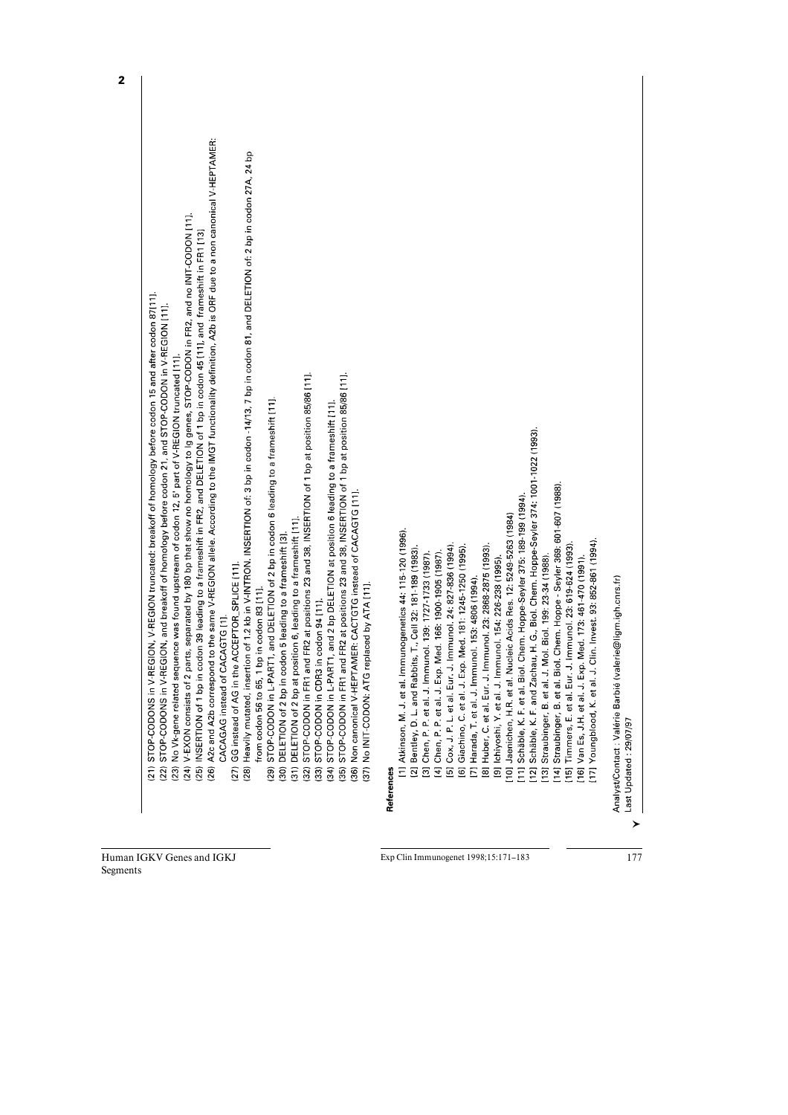| 21) STOP-CODONS in V-REGION, V-REGION truncated: breakoff of homology before codon 15 and after codon 87[11].                                          |  |
|--------------------------------------------------------------------------------------------------------------------------------------------------------|--|
| GION, and breakoff of homology before codon 21, and STOP-CODON in V-REGION [11].<br>(22) STOP-CODONS in V-RE                                           |  |
| (23) No Vk-gene related sequence was found upstream of codon 12, 5' part of V-REGION truncated [11].                                                   |  |
| (24) V-EXON consists of 2 parts, separated by 180 bp that show no homology to Ig genes, STOP-CODON in FR2, and no INIT-CODON [11].                     |  |
| (25) INSERTION of 1 bp in codon 39 leading to a frameshift in FR2, and DELETION of 1 bp in codon 45 [11], and frameshift in FR1 [13]                   |  |
| (26) A2c and A2b correspond to the same V-REGION allele. According to the IMGT functionality definition, A2b is ORF due to a non canonical V-HEPTAMER: |  |
| CACAGAG instead of CACAGTG [1].                                                                                                                        |  |
| GG instead of AG in the ACCEPTOR_SPLICE [11].<br>(27)                                                                                                  |  |
| (28) Heavily mutated, insertion of 1.2 kb in V-INTRON. INSERTION of: 3 bp in codon-14/13, 7 bp in codon 81, and DELETION of: 2 bp in codon 27A, 24 bp  |  |
| from codon 56 to 65, 1 bp in codon 83 [11].                                                                                                            |  |
| STOP-CODON in L-PART1, and DELETION of 2 bp in codon 6 leading to a frameshift [11].<br>(29)                                                           |  |
| (30) DELETION of 2 bp in codon 5 leading to a frameshift [3].                                                                                          |  |
| (31) DELETION of 2 bp at position 6, leading to a frameshift [11].                                                                                     |  |
| STOP-CODON in FR1 and FR2 at positions 23 and 38, INSERTION of 1 bp at position 85/86 [11].<br>(32)                                                    |  |
| STOP-CODON in CDR3 in codon 94 [11].<br>$\overline{33}$                                                                                                |  |
| STOP-CODON in L-PART1, and 2 bp DELETION at position 6 leading to a frameshift [11]<br>(34)                                                            |  |
| STOP-CODON in FR1 and FR2 at positions 23 and 38, INSERTION of 1 bp at position 85/86 [11].<br>(35)                                                    |  |
| Non canonical V-HEPTAMER: CACTGTG instead of CACAGTG [11].<br>$\overline{36}$                                                                          |  |
| (37) No INIT-CODON: ATG replaced by ATA [11].                                                                                                          |  |
| [1] Atkinson, M. J. et al. Immunogenetics 44: 115-120 (1996).<br>References                                                                            |  |
|                                                                                                                                                        |  |
| [2] Bentley, D. L. and Rabbits, T., Cell 32: 181-189 (1983).<br>[3] Chen, P. P. et al. J. Immunol. 139: 1727-1733 (1987).                              |  |
|                                                                                                                                                        |  |
| Med. 166: 1900-1905 (1987).<br>[4] Chen, P. P. et al. J. Exp.                                                                                          |  |
| [5] Cox, J. P. L. et al. Eur. J. Immunol. 24: 827-836 (1994).                                                                                          |  |
| [6] Giachino, C. et al. J. Exp. Med. 181: 1245-1250 (1995).                                                                                            |  |
| [7] Harada, T. et al. J. Immunol. 153: 4806 (1994).                                                                                                    |  |
| [8] Huber, C. et al. Eur. J. Immunol. 23: 2868-2875 (1993).                                                                                            |  |
| [9] Ichiyoshi, Y. et al. J. Immunol. 154: 226-238 (1995).                                                                                              |  |
|                                                                                                                                                        |  |
| [10] Jaenichen, H.R. et al. Nucleic Acids Res. 12: 5249-5263 (1984)                                                                                    |  |
| [11] Schäble, K. F. et al. Biol. Chem. Hoppe-Seyler 375: 189-199 (1994).                                                                               |  |
| [12] Schäble, K. F. and Zachau, H. G., Biol. Chem. Hoppe-Seyler 374: 1001-1022 (1993).                                                                 |  |
| Mol. Biol. 199: 23-34 (1988).<br>Straubinger, B. et al. J.<br>[13]                                                                                     |  |
| [14] Straubinger, B. et al. Biol. Chem. Hoppe - Seyler 369: 601-607 (1988)                                                                             |  |
| [15] Timmers, E. et al. Eur. J. Immunol. 23: 619-624 (1993).                                                                                           |  |
| [16] Van Es, J.H. et al. J. Exp. Med. 173: 461-470 (1991).                                                                                             |  |
| Clin. Invest. 93: 852-861 (1994).<br>[17] Youngblood, K. et al. J.                                                                                     |  |
|                                                                                                                                                        |  |
| lerie@ligm.igh.cnrs.fr)<br>Analyst/Contact : Valérie Barbié (val                                                                                       |  |
| Last Updated: 29/07/97                                                                                                                                 |  |

Human IGKV Genes and IGKJ Segments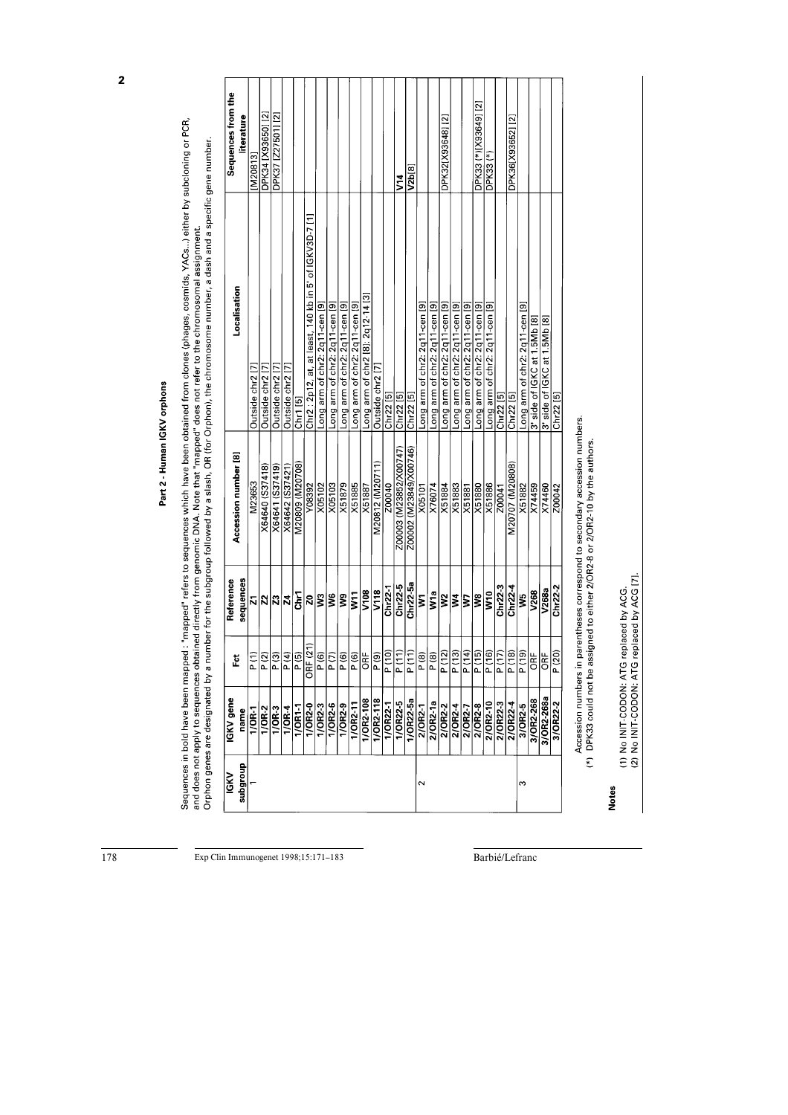| <b>IGKV</b> gene<br>name<br>anoubqus<br><b>IGKV</b> | E                                       | sequences<br>Reference | Accession number [8]   | Localisation                                            | Sequences from the<br>iterature |
|-----------------------------------------------------|-----------------------------------------|------------------------|------------------------|---------------------------------------------------------|---------------------------------|
| $\frac{1}{0R-1}$                                    | $\begin{pmatrix} 1 \\ -1 \end{pmatrix}$ |                        | M23653                 | Outside chr2 <sup>[7]</sup>                             | M20813                          |
| $1/OR-2$                                            | P(2)                                    | <b>ភ∣ន∣ន∣</b> ដ        | X64640 (S37418)        | Outside chr2 [7                                         | DPK34 [X93650] [2]              |
| $1/OR-3$                                            | P (3)                                   |                        | X64641 (S37419)        | Outside chr2 [7]                                        | DPK37 [Z27501] [2]              |
| $1/OR-4$                                            | P(4)                                    |                        | X64642 (S37421)        | Outside chr2 [7]                                        |                                 |
| $1/OR1-1$                                           | P(5)                                    | تع<br>5                | M20809 (M20708)        | Chr1 [5]                                                |                                 |
| 1/OR2-0                                             | <b>JRF (21)</b>                         | ี่≋่                   | Y08392                 | Chr2 : 2p12, at, at least, 140 kb in 5' of IGKV3D-7 [1] |                                 |
| $1/OR2 - 3$                                         | $\frac{1}{\sqrt{6}}$                    |                        | X05102                 | Long arm of chr2: 2q11-cen [9]                          |                                 |
| $\frac{1}{1}$ OR2-6                                 | P(7)                                    | SM                     | X05103                 | Long arm of chr2: 2q11-cen [9]                          |                                 |
| $\frac{1}{0}$ OR2-9                                 | P(6)                                    | g                      | X51879                 | Long arm of chr2: 2q11-cen [9]                          |                                 |
| $1/OR2 - 11$                                        | $\boxed{\mathsf{P}(\mathsf{6})}$        | īΜ                     | X51885                 | Long arm of chr2: 2q11-cen [9]                          |                                 |
| 1/OR2-108                                           | J≊                                      | V108                   | X51887                 | Long arm of chr2 [8]: 2q12-14 [3]                       |                                 |
| $1/OR2 - 118$                                       | P(9)                                    | V118                   | M20812 (M20711)        | Outside chr2 [7]                                        |                                 |
| 1/OR22-1                                            | $\frac{P(10)}{P(10)}$                   | $Chr22-1$              | 200040                 | Chr22 [5]                                               |                                 |
| 1/OR22-5                                            | $\frac{P(11)}{P(11)}$                   | $Chr22-5$              | Z00003 (M23852/X00747) | Chr22 [5]                                               | <b>SH</b>                       |
| 1/OR22-5a                                           | P(11)                                   | $Chr22-5a$             | 200002 (M23849/X00746) | $Chr22$ [5]                                             | V2b[8]                          |
| 2/0R2-1                                             | P (8)                                   | ξ                      | X05101                 | Long arm of chr2: 2q11-cen [9]                          |                                 |
| 2/OR2-1a                                            | P(8)                                    | W1a                    | X76074                 | Long arm of chr2: 2q11-cen [9]                          |                                 |
| $2/OR2-2$                                           | P(12)                                   | $ \tilde{s} \tilde{s}$ | X51884                 | Long arm of chr2: 2q11-cen [9]                          | DPK32[X93648] [2]               |
| $\frac{2/\overline{OR2.4}}{2/\overline{OR2.7}}$     | P(13)                                   |                        | $\times 1883$          | Long arm of chr2: 2q11-cen [9]                          |                                 |
|                                                     | $\frac{P(14)}{P}$                       | ζ                      | X51881                 | Long arm of chr2: 2q11-cen [9]                          |                                 |
| $2/OR2 - 8$                                         | P (15)                                  | ŝ                      | X51880                 | Long arm of chr2: 2q11-cen [9]                          | DPK33 (*)[X93649] [2]           |
| 2/OR2-10                                            | $\frac{1}{\sqrt{16}}$                   | V <sub>10</sub>        | X51886                 | Long arm of c <u>h</u> r2: 2q11-cen [9]                 | DPK33 (*)                       |
| 2/0R22-3                                            | $\boxed{\mathsf{P}(17)}$                | $Chr22-3$              | Z00041                 | Chr22 [5]                                               |                                 |
| 2/0R22-4                                            | $\frac{P(18)}{P(18)}$                   | Chr22-4                | M20707 (M20808)        | $Chr22$ <sup>[5]</sup>                                  | DPK36(X93652)[2]                |
| 3/OR2-5                                             | $\frac{1}{2}$                           | S.                     | X51882                 | Long arm of chr2: 2q11-cen [9]                          |                                 |
| 3/OR2-268                                           | ORF                                     | V268                   | X74459                 | 1.5Mb [8]<br>3' side of IGKC at 1                       |                                 |
| 3/OR2-268a                                          | ORF                                     | V268a                  | X74460                 | 3' side of IGKC at 1.5Mb [8]                            |                                 |
| 3/OR22-2                                            | P(20)                                   | $Chr22-2$              | Z00042                 | Chr22 [5]                                               |                                 |

Part 2 - Human IGKV orphons

Sequences in bold have been mapped : "mapped" refers to sequences which have been obtained from clones (phages, cosmids, YACs...) either by subcloning or PCR,<br>and does not apply to sequences obtained directly from genomic

Exp Clin Immunogenet 1998;15:171-183

Barbié/Lefranc

(1) No INIT-CODON: ATG replaced by ACG.<br>(2) No INIT-CODON: ATG replaced by ACG [7].

**Notes**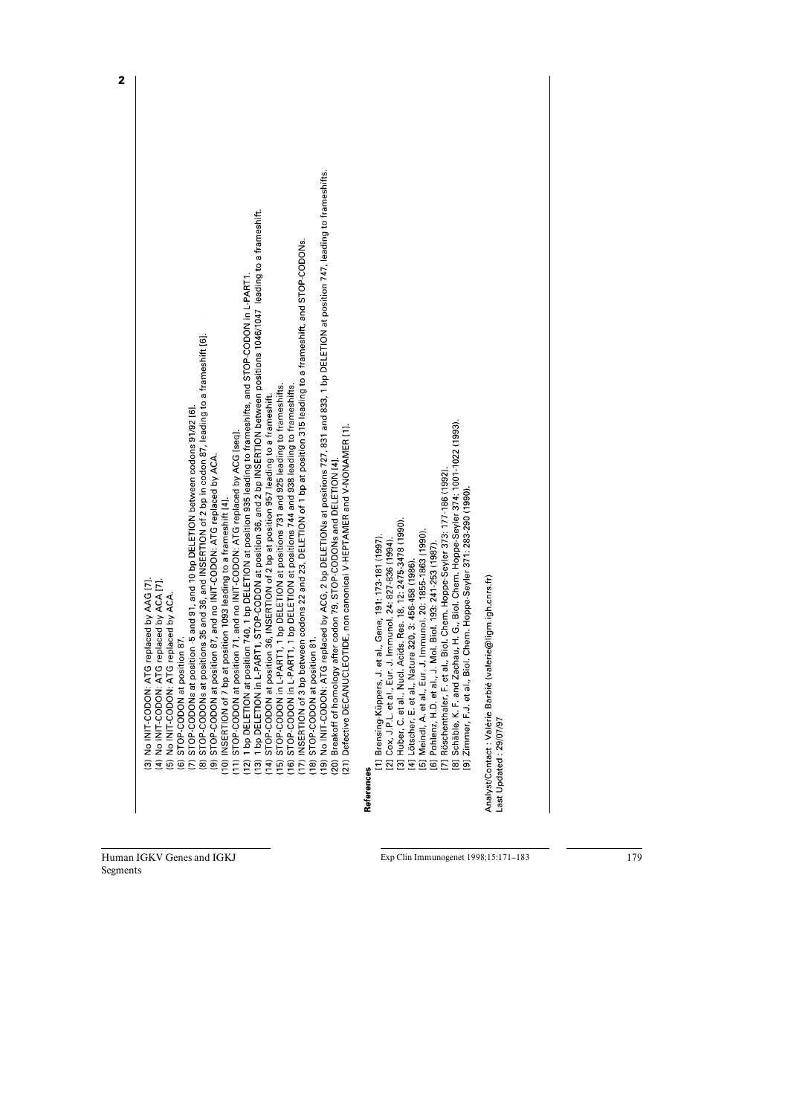| ATG replaced by AAG [7].<br>(4) No INIT-CODON: ATG replaced by ACA [7].<br>(5) No INIT-CODON: ATG replaced by ACA<br>STOP-CODON at position 87.<br>3) No INIT-CODON:<br>$\widehat{\mathbf{e}}$                                                                                                                                                                                                                                                                                                                                                                                        |  |
|---------------------------------------------------------------------------------------------------------------------------------------------------------------------------------------------------------------------------------------------------------------------------------------------------------------------------------------------------------------------------------------------------------------------------------------------------------------------------------------------------------------------------------------------------------------------------------------|--|
| positions 35 and 36, and INSERTION of 2 bp in codon 87, leading to a frameshift [6].<br>position -5 and 91, and 10 bp DELETION between codons 91/92 [6].<br>(9) STOP-CODON at position 87, and no INIT-CODON: ATG replaced by ACA<br>(7) STOP-CODONs at<br>(8) STOP-CODONs at                                                                                                                                                                                                                                                                                                         |  |
| L-PART1, STOP-CODON at position 36, and 2 bp INSERTION between positions 1046/1047 leading to a frameshift.<br>position 740, 1 bp DELETION at position 935 leading to frameshifts, and STOP-CODON in L-PART1.<br>(11) STOP-CODON at position 71, and no INIT-CODON: ATG replaced by ACG [seq].<br>(10) INSERTION of 7 bp at position 1093 leading to a frameshift [4].<br>(13) 1 bp DELETION in<br>(12) 1 bp DELETION at                                                                                                                                                              |  |
| (17) INSERTION of 3 bp between codons 22 and 23, DELETION of 1 bp at position 315 leading to a frameshift, and STOP-CODONs.<br>-PART1, 1 bp DELETION at positions 731 and 925 leading to frameshifts.<br>-PART1, 1 bp DELETION at positions 744 and 938 leading to frameshifts.<br>oosition 36, INSERTION of 2 bp at position 957 leading to a frameshift.<br>16) STOP-CODON in L<br>(14) STOP-CODON at<br>(15) STOP-CODON in                                                                                                                                                         |  |
| (19) NuT-CODON: ATG replaced by ACG, 2 bp DELETIONs at positions 727, 831 and 833, 1 bp DELETION at position 747, leading to frameshifts.<br>ICLEOTIDE, non canonical V-HEPTAMER and V-NONAMER [1].<br>ogy after codon 79, STOP-CODONs and DELETION [4]<br>(18) STOP-CODON at position 81.<br>(20) Breakoff of homol<br>21) Defective DECAN                                                                                                                                                                                                                                           |  |
| Zachau, H. G., Biol. Chem. Hoppe-Seyler 374: 1001-1022 (1993).<br>[7] Röschenthaler, F. et al., Biol. Chem. Hoppe-Seyler 373: 177-186 (1992)<br>[3] Huber, C. et al., Nucl. Acids. Res. 18, 12: 2475-3478 (1990).<br>[5] Meindl, A. et al., Eur. J. Immunol. 20: 1855-1863 (1990).<br>[1] Brensing-Küppers, J. et al., Gene, 191: 173-181 (1997).<br>[2] Cox, J.P.L. et al., Eur. J. Immunol. 24: 827-836 (1994)<br>[6] Pohlenz, H.D. et al., J. Mol. Biol. 193: 241-253 (1987).<br>Nature 320, 3: 456-458 (1986)<br>[8] Schäble, K. F. and<br>[4] Lötscher, E. et al.,<br>References |  |
| Biol. Chem. Hoppe-Seyler 371: 283-290 (1990)<br>(valerie@ligm.igh.cnrs.fr)<br>Analyst/Contact: Valérie Barbié<br>Zimmer, F.J. et al<br>Last Updated: 29/07/97<br>$\overline{5}$                                                                                                                                                                                                                                                                                                                                                                                                       |  |

Human IGKV Genes and IGKJ Segments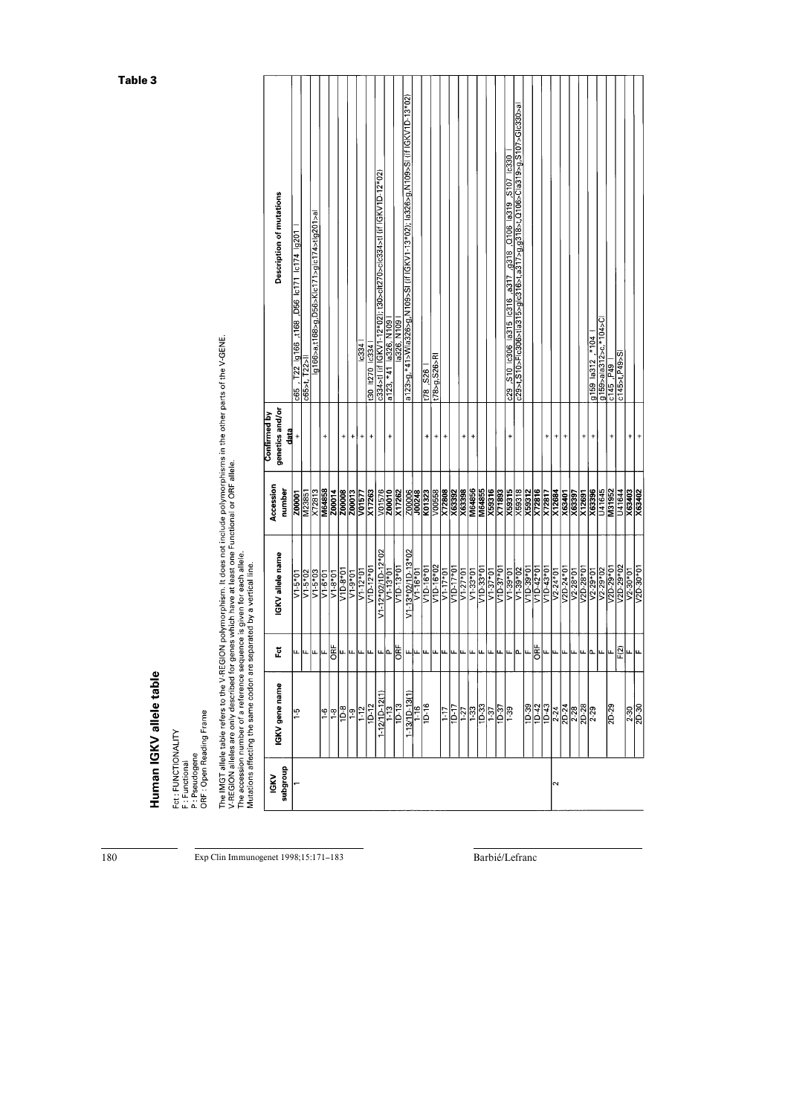|                        | he accession number of a reference sequence is given for each allele.<br>Autations affecting the same codon are separated by a vertical line. |               |                                      |                     |                                                |                                                                                      |
|------------------------|-----------------------------------------------------------------------------------------------------------------------------------------------|---------------|--------------------------------------|---------------------|------------------------------------------------|--------------------------------------------------------------------------------------|
| dnoabqns<br><b>NSI</b> | IGKV gene name                                                                                                                                | č             | GKV allele name                      | Accession<br>number | genetics and/or<br><b>Confirmed by</b><br>data | <b>Description of mutations</b>                                                      |
|                        | $\frac{5}{1}$                                                                                                                                 |               | $V1-5*0$                             | Z00001              | $\ddot{}$                                      | c65, T22 lg166, t168, D56 lc171 lc174 lg201                                          |
|                        |                                                                                                                                               | և  և          | $V1-5*02$                            | M23851              |                                                | c65>t, T22>                                                                          |
|                        |                                                                                                                                               | u             | $V1 - 5 * 03$                        | X72813              |                                                | lg166>a,t168>g,D56>Klc171>glc174>tlg201>al                                           |
|                        | $-6$                                                                                                                                          | ļμ            | $V1 - 6*01$                          | M64858              | $\ddot{}$                                      |                                                                                      |
|                        | $\frac{8}{1}$                                                                                                                                 | l¥            | $V1-8*01$                            | 200014              |                                                |                                                                                      |
|                        | $\frac{8}{10}$                                                                                                                                |               | $\frac{10*8}{10*8-01}$               | <b>Z0008</b>        | $\ddot{}$                                      |                                                                                      |
|                        | $\frac{9}{2}$                                                                                                                                 |               |                                      | Z00013              | $\ddot{}$                                      |                                                                                      |
|                        | $\frac{1}{1}$                                                                                                                                 | ա  ա  ա  ա    | $V1-12*01$                           | V01577              | $\begin{array}{c} + \end{array}$               | <b>c334</b>                                                                          |
|                        | $10 - 12$                                                                                                                                     |               | $V1D-12*01$                          | X17263              | $\ddot{}$                                      | t30 1t270 1c334                                                                      |
|                        | $1 - 12/10 - 12($                                                                                                                             | டி            | $\frac{V1-12*02/10-12*02}{V1-13*01}$ | V01576<br>200010    |                                                | c334>ti (if IGKV1-12*02); t30>cit270>cic334>ti (if IGKV1D-12*02)                     |
|                        | $1 - 13$                                                                                                                                      |               |                                      |                     | $\ddot{}$                                      | a123, *41 la326, N109                                                                |
|                        | $\frac{1}{10}$ -13                                                                                                                            | Ë             | V <sub>1D-13</sub> *01               | X17262              |                                                | la326, N109                                                                          |
|                        | $1-13/1D-13(1)$                                                                                                                               |               | V1-13*02/1D-13*02                    | Z00006<br>J00248    |                                                | a123>g,*41>Wla326>g,N109>SI (if IGKV1-13*02); la326>g,N109>SI (if IGKV1D-13*02)      |
|                        | $1 - 16$                                                                                                                                      | யுய           | $V1 - 16*01$                         |                     |                                                |                                                                                      |
|                        | $\frac{10}{16}$                                                                                                                               |               | V1D-16*01                            | K01323              | ÷                                              | t78, S26                                                                             |
|                        |                                                                                                                                               |               | V1D-16*02                            | V00558              | $^{\rm +}$                                     | t78>g,S26>RI                                                                         |
|                        | $-1 - 17$                                                                                                                                     | ա  ա  ա  ա  ա | $V1 - 17*01$                         | X72808              | $\ddot{}$                                      |                                                                                      |
|                        | ר<br>פ                                                                                                                                        |               | $\sqrt{10 \cdot 17 \cdot 01}$        | X63392              |                                                |                                                                                      |
|                        |                                                                                                                                               |               | $V1-27*01$                           | X63398              | $\ddot{}$                                      |                                                                                      |
|                        |                                                                                                                                               | щ             | $V1-33*01$                           | M64856              | +                                              |                                                                                      |
|                        |                                                                                                                                               | щ             | $V1D-33*01$                          | M64855              |                                                |                                                                                      |
|                        |                                                                                                                                               | L             | $V1-37*01$                           | X59316              |                                                |                                                                                      |
|                        |                                                                                                                                               | Iщ.           | $V10-37*01$                          | X71893              |                                                |                                                                                      |
|                        |                                                                                                                                               | Iщ            | $V1-39*01$                           | X59315              | $\ddot{}$                                      | 0259 / 2015 61291 9010 / 812 <sup>6</sup> / 212 <sup>9</sup> 9129 9129 9129 9059 015 |
|                        |                                                                                                                                               | م             | $V1-39*02$                           | X59318              |                                                | c29>t,S10>Flc306>tla315>glc316>t,a317>g,g318>t,O106>Cla319>g,S107>Glc330>al          |
|                        | $\frac{85-01}{1}$                                                                                                                             | ட             | $V1D-39*01$                          | X59312              |                                                |                                                                                      |
|                        | $\frac{1}{2}$ $\frac{1}{2}$                                                                                                                   | <b>BE</b>     | $\frac{10*8+01}{10*3*01}$            | <b>X72816</b>       |                                                |                                                                                      |
|                        |                                                                                                                                               | سا سا         |                                      | <b>X72817</b>       | $\ddot{}$                                      |                                                                                      |
| $\sim$                 | $\frac{2.24}{2D - 24}$                                                                                                                        |               | $V2 - 24 * 01$                       | X12684              | $+$                                            |                                                                                      |
|                        |                                                                                                                                               | щ             | $V2D-24*01$                          | X63401              | $\ddot{}$                                      |                                                                                      |
|                        | ္လူ္တူ<br> ∼ ္လူ <i>း</i>                                                                                                                     | ш.            | $V2 - 28*01$                         | X63397              |                                                |                                                                                      |
|                        |                                                                                                                                               | LL            | $V2D-28*07$                          | X12697              | $\ddot{}$                                      |                                                                                      |
|                        |                                                                                                                                               | p.            | $V2 - 29 * 01$                       | X63396              | $\ddot{}$                                      | $g159$ a312, *104                                                                    |
|                        |                                                                                                                                               | щ             | $V2 - 29 * 02$                       | U41645              |                                                | g159>ala312>c,*104>Cl<br>c145 ,P49 l                                                 |
|                        | 2D-29                                                                                                                                         | LL.           | V2D-29*01                            | M31952              | $\ddot{}$                                      |                                                                                      |
|                        |                                                                                                                                               | F(2)          | V2D-29*02                            | U41644              |                                                | $c145$ >t, P49>SI                                                                    |
|                        | $\frac{8}{25.30}$                                                                                                                             | ட             | $V2.30*01$                           | X63403              | $\ddot{}$                                      |                                                                                      |
|                        |                                                                                                                                               | щ             | $V2D-30*01$                          | X63402              | $\ddot{}$                                      |                                                                                      |

Table 3

Human IGKV allele table

Fct : FUNCTIONALITY<br>F : Functional<br>P : Pseudogene<br>ORF : Open Reading Frame

The IMGT allele table refers to the V-REGION polymorphism. It does not include polymorphisms in the other parts of the V-GENE.<br>V-REGION alleles are only described for genes which have at least one Functional or ORF allele

Exp Clin Immunogenet 1998;15:171-183

Barbié/Lefranc

 $\overline{180}$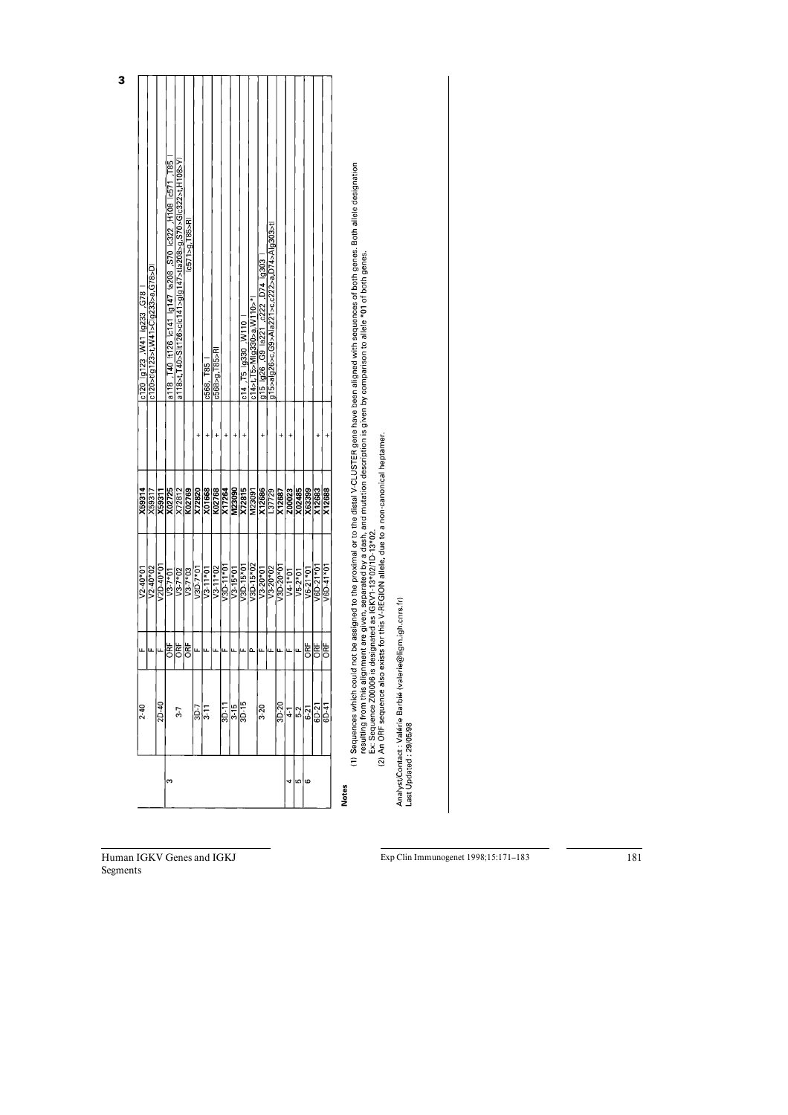| a118>t,T40>Sit126>cic141>gig147>tia208>g,S70>Gic322>t,H108>Yi<br>(c571>g, T85>R)<br>g15>alg26>c,G9>Ala221>c,c222>a,D74>Alg303>tl<br><u>[g15  g26 ,G9  a221 ,c222 ,D74  g303</u><br>$c14$ >t, T5>Mig330>a, W110>*<br>0114, T5 19330, W110<br>c568>g,T85>RI<br>c568, T85<br>K02769<br>X72820<br>X01668<br>X07764<br>M23090<br>M23091<br>$\frac{X12686}{\frac{137729}{2}}$<br>X72815<br>X02485<br>X12688<br>X12687<br><b>Z00023</b><br><b>X63399</b><br>X12683<br>$V3D-11*01$<br>V3D-15*02<br>V3D-15*01<br>V3D-20*01<br>V6D-21*01<br>$\frac{1}{3}$<br>$\frac{1}{20*02}$<br>$V6D-41*01$<br>V3D-7*01<br>$\sqrt{3} \cdot 11 * 02$<br>$\frac{1}{\sqrt{3-7*02}}$<br>$V3 - 7 * 03$<br>$V3.11*01$<br>$V3 - 15*01$<br>$V6-21*01$<br>$V5 - 2*01$<br>$V4.1*01$<br>ORF<br>ORF<br>동<br><b>DRF</b><br><b>PF</b><br>$\frac{8}{10-20}$<br>$\frac{1}{\frac{1}{10}}\left \frac{1}{10}\right $<br>$\frac{3D-7}{3-11}$<br>$3-20$<br>$6D-41$<br>$\frac{52}{621}$<br>$^{4-1}$<br>$3-7$<br>ဖ<br>w<br><b>Notes</b> | m | $2D-40$<br>$2 - 40$ | <b>BE</b> | $\frac{V2-40*02}{V2D-40*01}$<br>$V2 - 40*01$<br>$V3.7*01$ | X59314<br>X59317                              | c120>tig123>t,W41>Cig233>a,G78>Di<br>c120 g123, W41 g233, G78 |
|------------------------------------------------------------------------------------------------------------------------------------------------------------------------------------------------------------------------------------------------------------------------------------------------------------------------------------------------------------------------------------------------------------------------------------------------------------------------------------------------------------------------------------------------------------------------------------------------------------------------------------------------------------------------------------------------------------------------------------------------------------------------------------------------------------------------------------------------------------------------------------------------------------------------------------------------------------------------------------------|---|---------------------|-----------|-----------------------------------------------------------|-----------------------------------------------|---------------------------------------------------------------|
|                                                                                                                                                                                                                                                                                                                                                                                                                                                                                                                                                                                                                                                                                                                                                                                                                                                                                                                                                                                          |   |                     |           |                                                           | $\frac{\overline{X02725}}{\overline{X72812}}$ | a118 .T40 k126 c141 lg147 la208 ,S70 lc322 ,H108 lc571 ,T85   |
|                                                                                                                                                                                                                                                                                                                                                                                                                                                                                                                                                                                                                                                                                                                                                                                                                                                                                                                                                                                          |   |                     |           |                                                           |                                               |                                                               |
|                                                                                                                                                                                                                                                                                                                                                                                                                                                                                                                                                                                                                                                                                                                                                                                                                                                                                                                                                                                          |   |                     |           |                                                           |                                               |                                                               |
|                                                                                                                                                                                                                                                                                                                                                                                                                                                                                                                                                                                                                                                                                                                                                                                                                                                                                                                                                                                          |   |                     |           |                                                           |                                               |                                                               |
|                                                                                                                                                                                                                                                                                                                                                                                                                                                                                                                                                                                                                                                                                                                                                                                                                                                                                                                                                                                          |   |                     |           |                                                           |                                               |                                                               |
|                                                                                                                                                                                                                                                                                                                                                                                                                                                                                                                                                                                                                                                                                                                                                                                                                                                                                                                                                                                          |   |                     |           |                                                           |                                               |                                                               |
|                                                                                                                                                                                                                                                                                                                                                                                                                                                                                                                                                                                                                                                                                                                                                                                                                                                                                                                                                                                          |   |                     |           |                                                           |                                               |                                                               |
|                                                                                                                                                                                                                                                                                                                                                                                                                                                                                                                                                                                                                                                                                                                                                                                                                                                                                                                                                                                          |   |                     |           |                                                           |                                               |                                                               |
|                                                                                                                                                                                                                                                                                                                                                                                                                                                                                                                                                                                                                                                                                                                                                                                                                                                                                                                                                                                          |   |                     |           |                                                           |                                               |                                                               |
|                                                                                                                                                                                                                                                                                                                                                                                                                                                                                                                                                                                                                                                                                                                                                                                                                                                                                                                                                                                          |   |                     |           |                                                           |                                               |                                                               |
|                                                                                                                                                                                                                                                                                                                                                                                                                                                                                                                                                                                                                                                                                                                                                                                                                                                                                                                                                                                          |   |                     |           |                                                           |                                               |                                                               |
|                                                                                                                                                                                                                                                                                                                                                                                                                                                                                                                                                                                                                                                                                                                                                                                                                                                                                                                                                                                          |   |                     |           |                                                           |                                               |                                                               |
|                                                                                                                                                                                                                                                                                                                                                                                                                                                                                                                                                                                                                                                                                                                                                                                                                                                                                                                                                                                          |   |                     |           |                                                           |                                               |                                                               |
|                                                                                                                                                                                                                                                                                                                                                                                                                                                                                                                                                                                                                                                                                                                                                                                                                                                                                                                                                                                          |   |                     |           |                                                           |                                               |                                                               |
|                                                                                                                                                                                                                                                                                                                                                                                                                                                                                                                                                                                                                                                                                                                                                                                                                                                                                                                                                                                          |   |                     |           |                                                           |                                               |                                                               |

**3** 

(1) Sequences which could not be assigned to the proximal or to the distal V-CLUSTER gene have been aligned with sequences of both genes. Both allele designation<br>resulting from this alignment are given, separated by a dash

Analyst/Contact : Valérie Barbié (valerie@ligm.igh.cnrs.fr)<br>Last Updated : 29/05/98

Human IGKV Genes and IGKJ Segments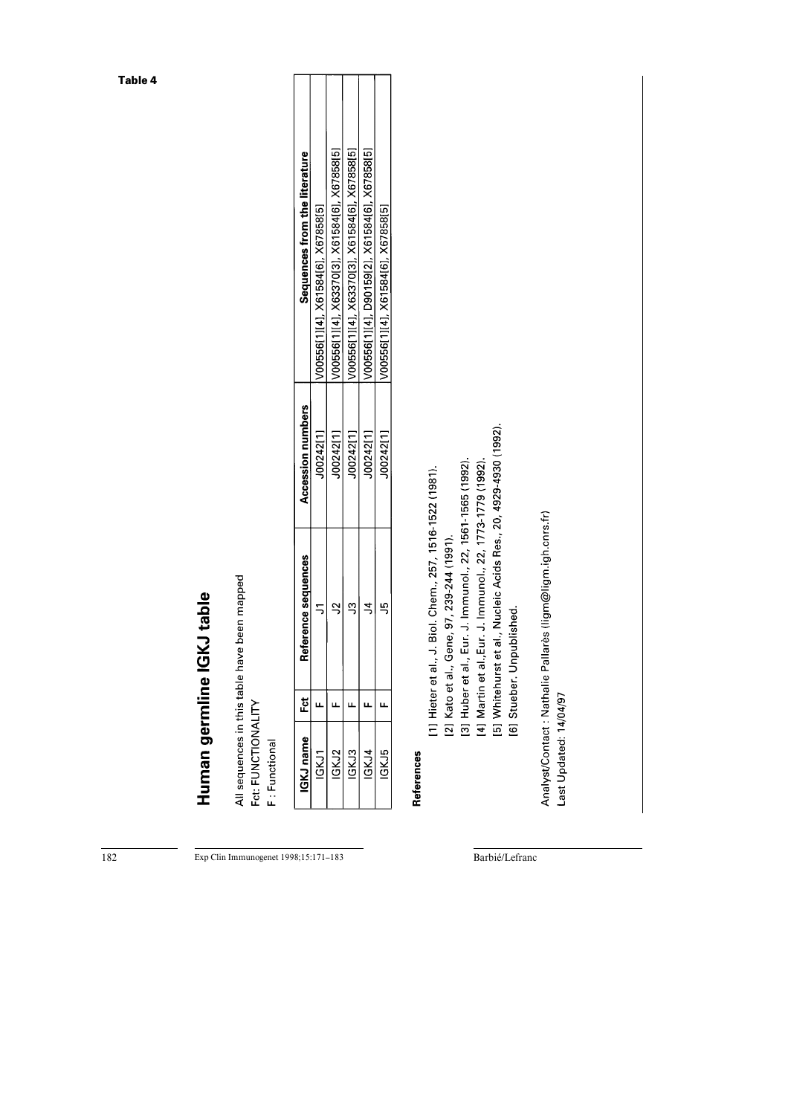| IGKJ name | Ĕ                | Reference sequences                                                                                                    | Accession numbers | Sequences from the literature                 |
|-----------|------------------|------------------------------------------------------------------------------------------------------------------------|-------------------|-----------------------------------------------|
| IGKJ1     | щ                | 5                                                                                                                      | J00242[1]         | V00556[1][4], X61584[6], X67858[5]            |
| IGKJ2     | Щ                | $\mathbb{R}$                                                                                                           | J00242[1]         | V00556[1][4], X63370[3], X61584[6], X67858[5] |
| IGKJ3     | щ                | c)                                                                                                                     | J00242[1]         | V00556[1][4], X63370[3], X61584[6], X67858[5] |
| IGKJ4     | щ                | 4                                                                                                                      | J00242[1]         | V00556[1][4], D90159[2], X61584[6], X67858[5] |
| IGKJ5     | щ                | 5                                                                                                                      | J00242[1]         | V00556[1][4], X61584[6], X67858[5]            |
|           | [2] Kato et al., | [1] Hieter et al., J. Biol. Chem., 257, 1516-1522 (1981).<br>Gene, 97, 239-244 (1991).                                 |                   |                                               |
|           |                  | [3] Huber et al., Eur. J. Immunol., 22, 1561-1565 (1992).<br>[4] Martin et al., Eur. J. Immunol., 22, 1773-1779 (1992) |                   |                                               |
|           |                  | [5] Whitehurst et al., Nucleic Acids Res., 20, 4929-4930 (1992).<br>[6] Stueber. Unpublished.                          |                   |                                               |

Exp Clin Immunogenet 1998;15:171-183

Barbié/Lefranc

 $\frac{182}{182}$